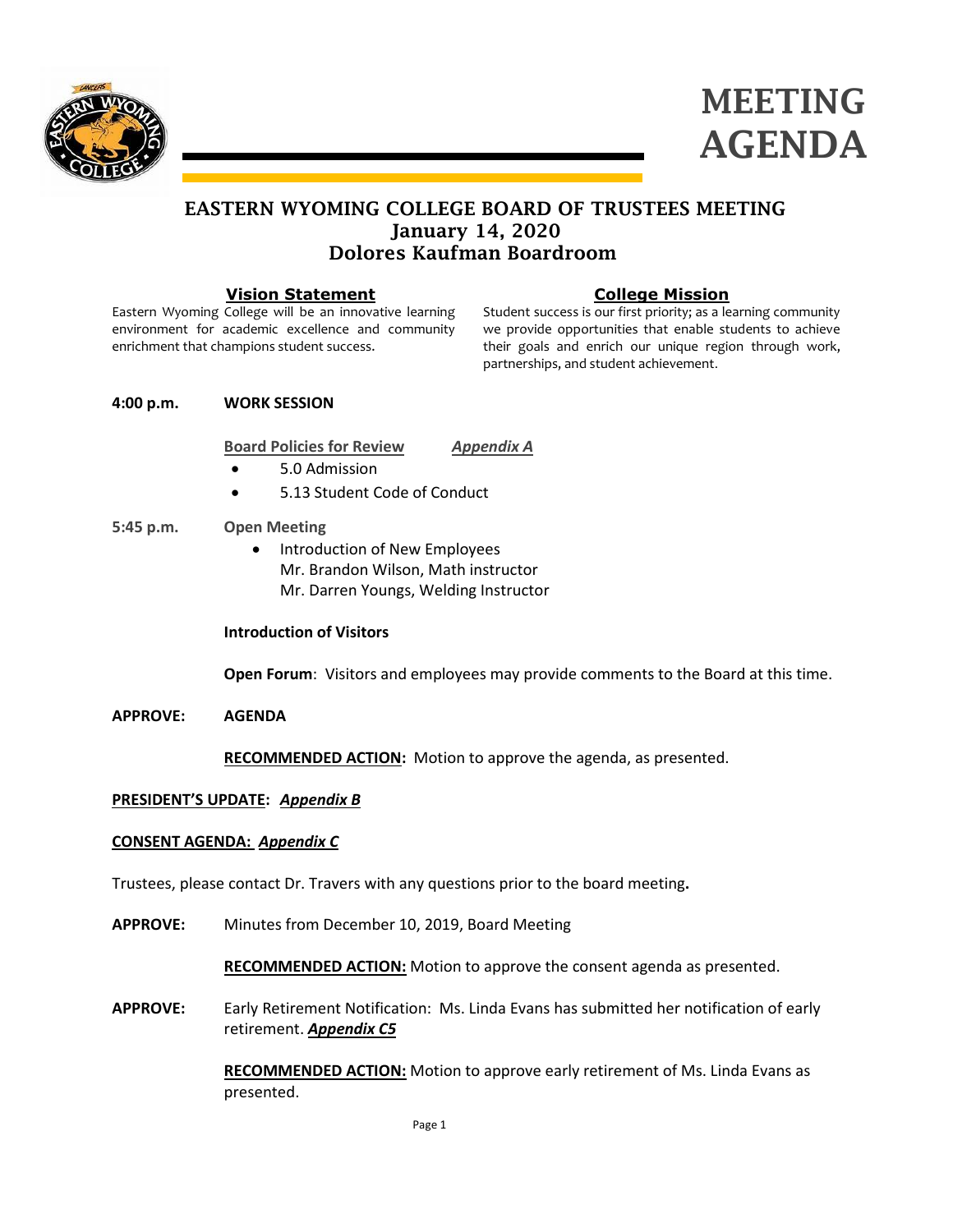



## EASTERN WYOMING COLLEGE BOARD OF TRUSTEES MEETING January 14, 2020 Dolores Kaufman Boardroom

#### **Vision Statement**

Eastern Wyoming College will be an innovative learning environment for academic excellence and community enrichment that champions student success.

## **College Mission**

Student success is our first priority; as a learning community we provide opportunities that enable students to achieve their goals and enrich our unique region through work, partnerships, and student achievement.

#### **4:00 p.m. WORK SESSION**

**Board Policies for Review** *Appendix A*

- 5.0 Admission
- 5.13 Student Code of Conduct

#### **5:45 p.m. Open Meeting**

• Introduction of New Employees Mr. Brandon Wilson, Math instructor Mr. Darren Youngs, Welding Instructor

### **Introduction of Visitors**

**Open Forum**: Visitors and employees may provide comments to the Board at this time.

**APPROVE: AGENDA**

**RECOMMENDED ACTION:** Motion to approve the agenda, as presented.

## **PRESIDENT'S UPDATE:** *Appendix B*

#### **CONSENT AGENDA:** *Appendix C*

Trustees, please contact Dr. Travers with any questions prior to the board meeting**.**

**APPROVE:** Minutes from December 10, 2019, Board Meeting

**RECOMMENDED ACTION:** Motion to approve the consent agenda as presented.

**APPROVE:** Early Retirement Notification: Ms. Linda Evans has submitted her notification of early retirement. *Appendix C5*

> **RECOMMENDED ACTION:** Motion to approve early retirement of Ms. Linda Evans as presented.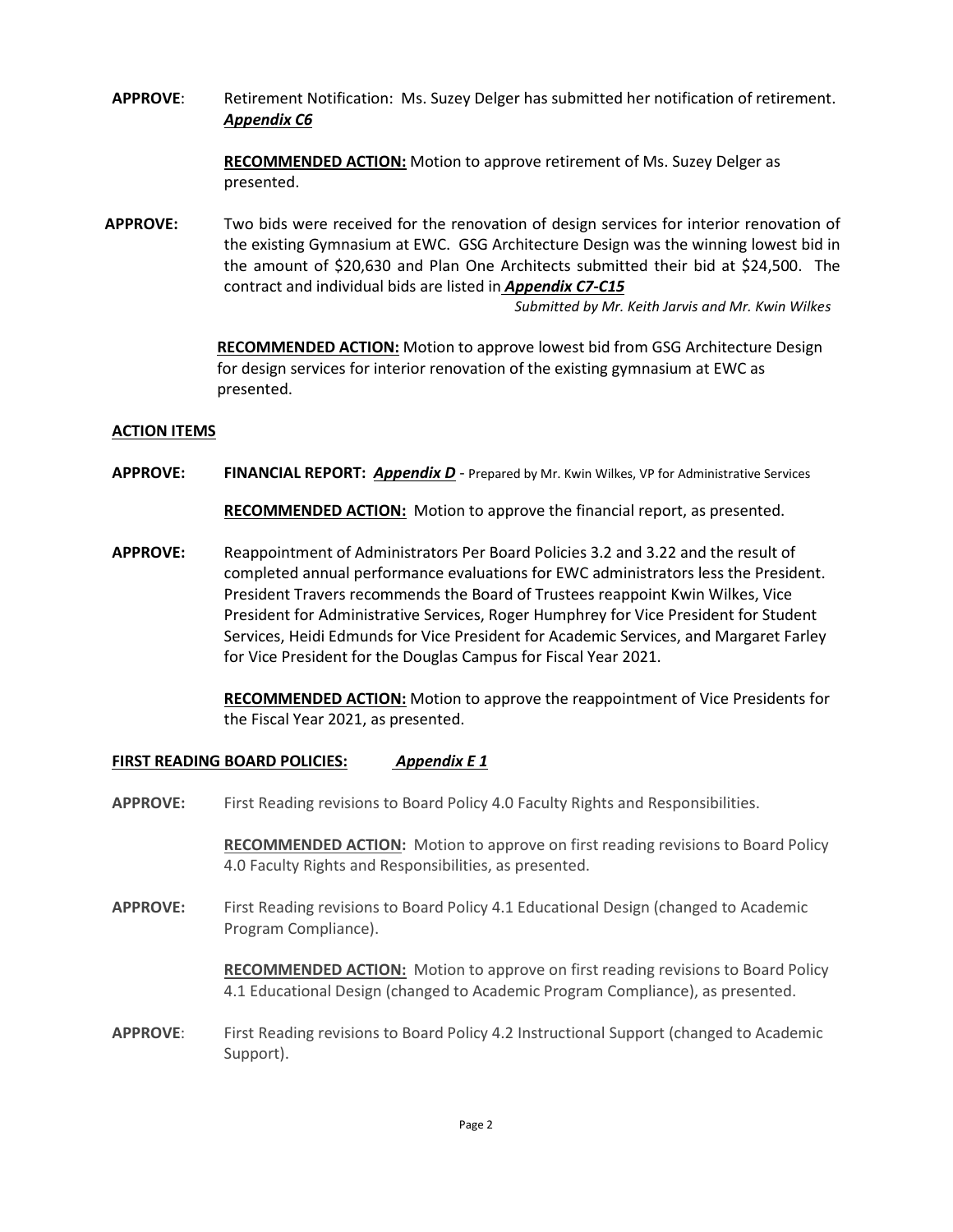**APPROVE**: Retirement Notification: Ms. Suzey Delger has submitted her notification of retirement. *Appendix C6*

> **RECOMMENDED ACTION:** Motion to approve retirement of Ms. Suzey Delger as presented.

**APPROVE:** Two bids were received for the renovation of design services for interior renovation of the existing Gymnasium at EWC. GSG Architecture Design was the winning lowest bid in the amount of \$20,630 and Plan One Architects submitted their bid at \$24,500. The contract and individual bids are listed in *Appendix C7-C15*

 *Submitted by Mr. Keith Jarvis and Mr. Kwin Wilkes*

**RECOMMENDED ACTION:** Motion to approve lowest bid from GSG Architecture Design for design services for interior renovation of the existing gymnasium at EWC as presented.

#### **ACTION ITEMS**

**APPROVE: FINANCIAL REPORT:** *Appendix D* - Prepared by Mr. Kwin Wilkes, VP for Administrative Services

**RECOMMENDED ACTION:** Motion to approve the financial report, as presented.

**APPROVE:** Reappointment of Administrators Per Board Policies 3.2 and 3.22 and the result of completed annual performance evaluations for EWC administrators less the President. President Travers recommends the Board of Trustees reappoint Kwin Wilkes, Vice President for Administrative Services, Roger Humphrey for Vice President for Student Services, Heidi Edmunds for Vice President for Academic Services, and Margaret Farley for Vice President for the Douglas Campus for Fiscal Year 2021.

> **RECOMMENDED ACTION:** Motion to approve the reappointment of Vice Presidents for the Fiscal Year 2021, as presented.

#### **FIRST READING BOARD POLICIES:** *Appendix E 1*

**APPROVE:** First Reading revisions to Board Policy 4.0 Faculty Rights and Responsibilities.

**RECOMMENDED ACTION:** Motion to approve on first reading revisions to Board Policy 4.0 Faculty Rights and Responsibilities, as presented.

**APPROVE:** First Reading revisions to Board Policy 4.1 Educational Design (changed to Academic Program Compliance).

> **RECOMMENDED ACTION:** Motion to approve on first reading revisions to Board Policy 4.1 Educational Design (changed to Academic Program Compliance), as presented.

**APPROVE**: First Reading revisions to Board Policy 4.2 Instructional Support (changed to Academic Support).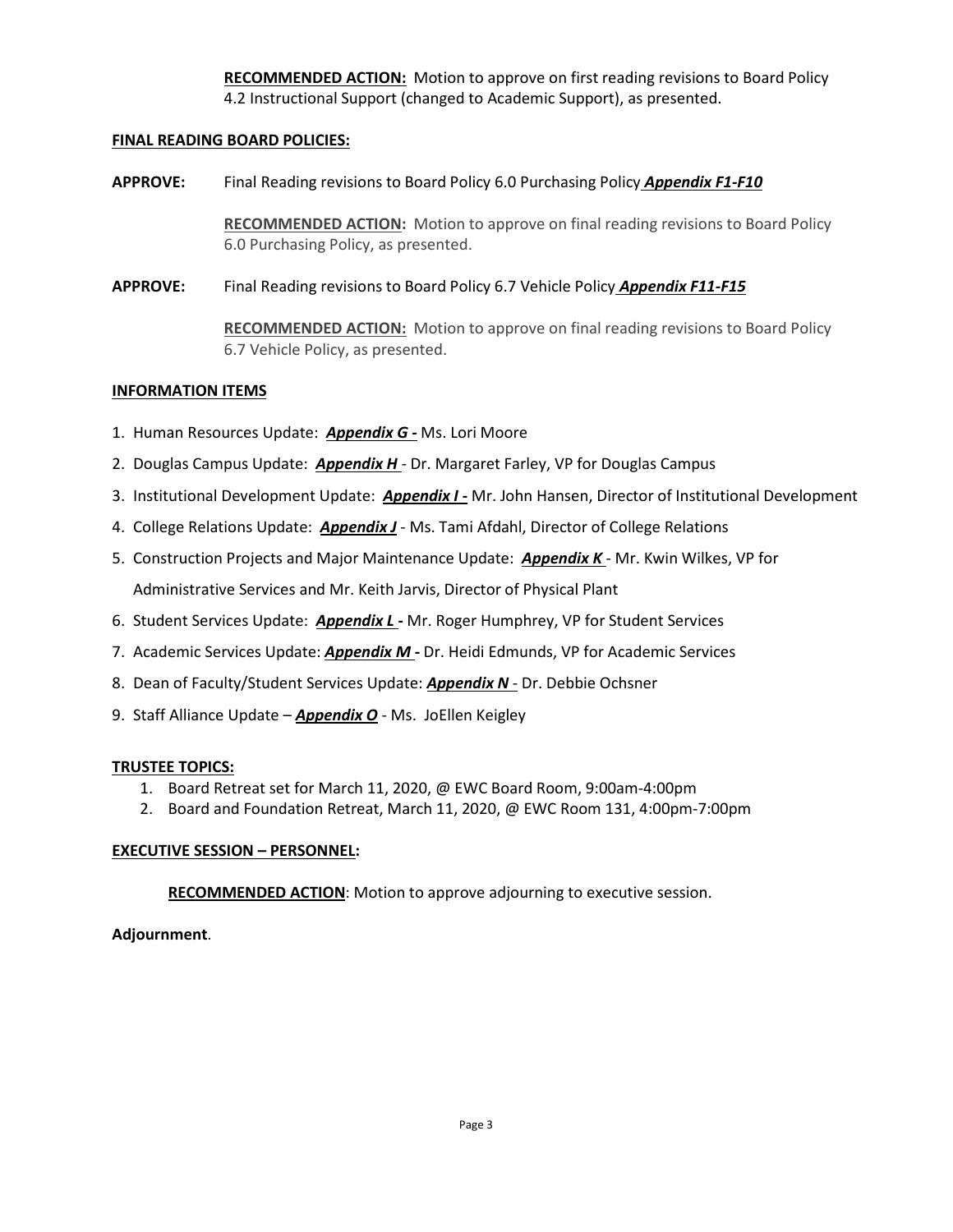**RECOMMENDED ACTION:** Motion to approve on first reading revisions to Board Policy 4.2 Instructional Support (changed to Academic Support), as presented.

### **FINAL READING BOARD POLICIES:**

**APPROVE:** Final Reading revisions to Board Policy 6.0 Purchasing Policy *Appendix F1-F10*

**RECOMMENDED ACTION:** Motion to approve on final reading revisions to Board Policy 6.0 Purchasing Policy, as presented.

**APPROVE:** Final Reading revisions to Board Policy 6.7 Vehicle Policy *Appendix F11-F15*

**RECOMMENDED ACTION:** Motion to approve on final reading revisions to Board Policy 6.7 Vehicle Policy, as presented.

#### **INFORMATION ITEMS**

- 1. Human Resources Update: *Appendix G -* Ms. Lori Moore
- 2. Douglas Campus Update: *Appendix H -* Dr. Margaret Farley, VP for Douglas Campus
- 3. Institutional Development Update: *Appendix I* **-** Mr. John Hansen, Director of Institutional Development
- 4. College Relations Update: *Appendix J* Ms. Tami Afdahl, Director of College Relations
- 5. Construction Projects and Major Maintenance Update: *Appendix K* Mr. Kwin Wilkes, VP for Administrative Services and Mr. Keith Jarvis, Director of Physical Plant
- 6. Student Services Update: *Appendix L* **-** Mr. Roger Humphrey, VP for Student Services
- 7. Academic Services Update: *Appendix M* **-** Dr. Heidi Edmunds, VP for Academic Services
- 8. Dean of Faculty/Student Services Update: *Appendix N* Dr. Debbie Ochsner
- 9. Staff Alliance Update *Appendix O* Ms. JoEllen Keigley

#### **TRUSTEE TOPICS:**

- 1. Board Retreat set for March 11, 2020, @ EWC Board Room, 9:00am-4:00pm
- 2. Board and Foundation Retreat, March 11, 2020, @ EWC Room 131, 4:00pm-7:00pm

## **EXECUTIVE SESSION – PERSONNEL:**

**RECOMMENDED ACTION**: Motion to approve adjourning to executive session.

## **Adjournment**.